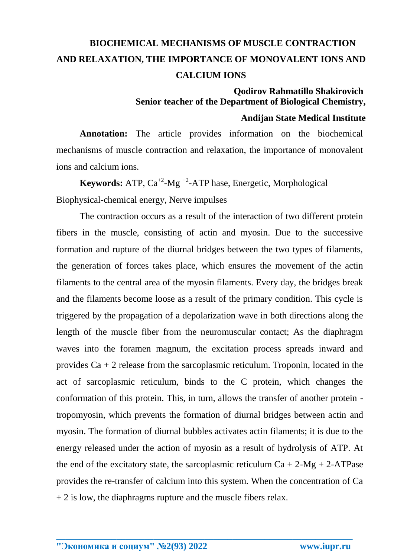## **BIOCHEMICAL MECHANISMS OF MUSCLE CONTRACTION AND RELAXATION, THE IMPORTANCE OF MONOVALENT IONS AND CALCIUM IONS**

## **Qodirov Rahmatillo Shakirovich Senior teacher of the Department of Biological Chemistry, Andijan State Medical Institute**

**Annotation:** The article provides information on the biochemical mechanisms of muscle contraction and relaxation, the importance of monovalent ions and calcium ions.

**Keywords:** ATP,  $Ca^{+2}$ -Mg <sup>+2</sup>-ATP hase, Energetic, Morphological Biophysical-chemical energy, Nerve impulses

The contraction occurs as a result of the interaction of two different protein fibers in the muscle, consisting of actin and myosin. Due to the successive formation and rupture of the diurnal bridges between the two types of filaments, the generation of forces takes place, which ensures the movement of the actin filaments to the central area of the myosin filaments. Every day, the bridges break and the filaments become loose as a result of the primary condition. This cycle is triggered by the propagation of a depolarization wave in both directions along the length of the muscle fiber from the neuromuscular contact; As the diaphragm waves into the foramen magnum, the excitation process spreads inward and provides  $Ca + 2$  release from the sarcoplasmic reticulum. Troponin, located in the act of sarcoplasmic reticulum, binds to the C protein, which changes the conformation of this protein. This, in turn, allows the transfer of another protein tropomyosin, which prevents the formation of diurnal bridges between actin and myosin. The formation of diurnal bubbles activates actin filaments; it is due to the energy released under the action of myosin as a result of hydrolysis of ATP. At the end of the excitatory state, the sarcoplasmic reticulum  $Ca + 2-Mg + 2-ATPase$ provides the re-transfer of calcium into this system. When the concentration of Ca  $+ 2$  is low, the diaphragms rupture and the muscle fibers relax.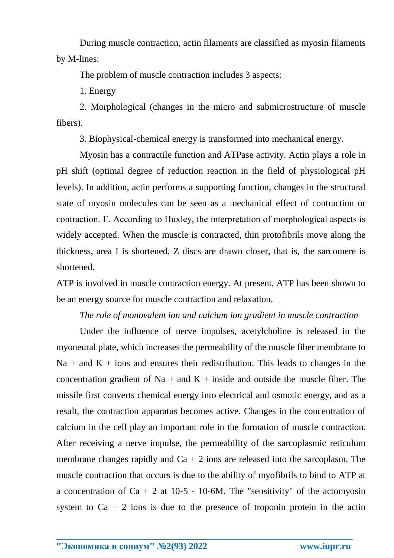During muscle contraction, actin filaments are classified as myosin filaments by M-lines:

The problem of muscle contraction includes 3 aspects:

1. Energy

2. Morphological (changes in the micro and submicrostructure of muscle fibers).

3. Biophysical-chemical energy is transformed into mechanical energy.

Myosin has a contractile function and ATPase activity. Actin plays a role in pH shift (optimal degree of reduction reaction in the field of physiological pH levels). In addition, actin performs a supporting function, changes in the structural state of myosin molecules can be seen as a mechanical effect of contraction or contraction. Г. According to Huxley, the interpretation of morphological aspects is widely accepted. When the muscle is contracted, thin protofibrils move along the thickness, area I is shortened, Z discs are drawn closer, that is, the sarcomere is shortened.

ATP is involved in muscle contraction energy. At present, ATP has been shown to be an energy source for muscle contraction and relaxation.

*The role of monovalent ion and calcium ion gradient in muscle contraction*

Under the influence of nerve impulses, acetylcholine is released in the myoneural plate, which increases the permeability of the muscle fiber membrane to  $Na + and K + ions$  and ensures their redistribution. This leads to changes in the concentration gradient of Na + and K + inside and outside the muscle fiber. The missile first converts chemical energy into electrical and osmotic energy, and as a result, the contraction apparatus becomes active. Changes in the concentration of calcium in the cell play an important role in the formation of muscle contraction. After receiving a nerve impulse, the permeability of the sarcoplasmic reticulum membrane changes rapidly and  $Ca + 2$  ions are released into the sarcoplasm. The muscle contraction that occurs is due to the ability of myofibrils to bind to ATP at a concentration of  $Ca + 2$  at 10-5 - 10-6M. The "sensitivity" of the actomyosin system to  $Ca + 2$  ions is due to the presence of troponin protein in the actin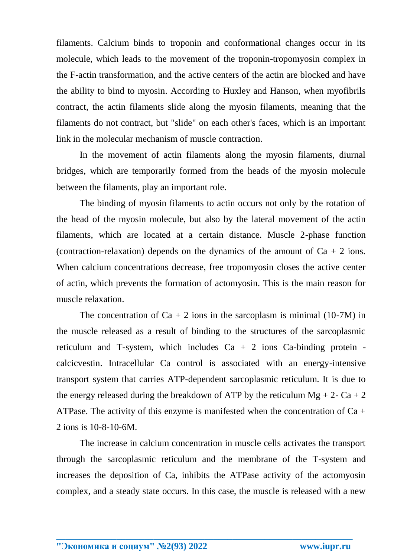filaments. Calcium binds to troponin and conformational changes occur in its molecule, which leads to the movement of the troponin-tropomyosin complex in the F-actin transformation, and the active centers of the actin are blocked and have the ability to bind to myosin. According to Huxley and Hanson, when myofibrils contract, the actin filaments slide along the myosin filaments, meaning that the filaments do not contract, but "slide" on each other's faces, which is an important link in the molecular mechanism of muscle contraction.

In the movement of actin filaments along the myosin filaments, diurnal bridges, which are temporarily formed from the heads of the myosin molecule between the filaments, play an important role.

The binding of myosin filaments to actin occurs not only by the rotation of the head of the myosin molecule, but also by the lateral movement of the actin filaments, which are located at a certain distance. Muscle 2-phase function (contraction-relaxation) depends on the dynamics of the amount of  $Ca + 2$  ions. When calcium concentrations decrease, free tropomyosin closes the active center of actin, which prevents the formation of actomyosin. This is the main reason for muscle relaxation.

The concentration of  $Ca + 2$  ions in the sarcoplasm is minimal (10-7M) in the muscle released as a result of binding to the structures of the sarcoplasmic reticulum and T-system, which includes  $Ca + 2$  ions  $Ca$ -binding protein calcicvestin. Intracellular Ca control is associated with an energy-intensive transport system that carries ATP-dependent sarcoplasmic reticulum. It is due to the energy released during the breakdown of ATP by the reticulum  $Mg + 2 - Ca + 2$ ATPase. The activity of this enzyme is manifested when the concentration of  $Ca +$ 2 ions is 10-8-10-6M.

The increase in calcium concentration in muscle cells activates the transport through the sarcoplasmic reticulum and the membrane of the T-system and increases the deposition of Ca, inhibits the ATPase activity of the actomyosin complex, and a steady state occurs. In this case, the muscle is released with a new